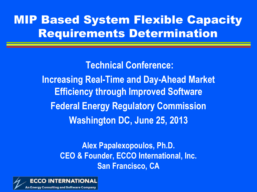#### MIP Based System Flexible Capacity Requirements Determination

**Technical Conference: Increasing Real-Time and Day-Ahead Market Efficiency through Improved Software Federal Energy Regulatory Commission Washington DC, June 25, 2013**

> **Alex Papalexopoulos, Ph.D. CEO & Founder, ECCO International, Inc. San Francisco, CA**

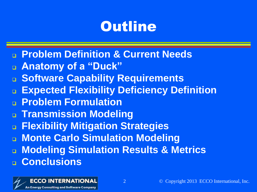### **Outline**

- **Problem Definition & Current Needs**
- **Anatomy of a "Duck"**
- **Software Capability Requirements**
- **Expected Flexibility Deficiency Definition**
- **Problem Formulation**
- **Transmission Modeling**
- **Flexibility Mitigation Strategies**
- **Monte Carlo Simulation Modeling**
- **Modeling Simulation Results & Metrics Conclusions**

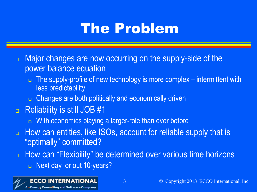### The Problem

- **E.** Major changes are now occurring on the supply-side of the power balance equation
	- $\Box$  The supply-profile of new technology is more complex intermittent with less predictability
	- **n** Changes are both politically and economically driven
- □ Reliability is still JOB #1
	- **u** With economics playing a larger-role than ever before
- $\Box$  How can entities, like ISOs, account for reliable supply that is "optimally" committed?
- $\Box$  How can "Flexibility" be determined over various time horizons **Next day or out 10-years?**

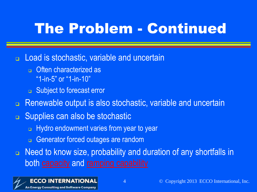### The Problem - Continued

□ Load is stochastic, variable and uncertain

- **n** Often characterized as "1-in-5" or "1-in-10"
- □ Subject to forecast error
- **n** Renewable output is also stochastic, variable and uncertain
- □ Supplies can also be stochastic
	- **Hydro endowment varies from year to year**
	- **Generator forced outages are random**

□ Need to know size, probability and duration of any shortfalls in both capacity and ramping capability

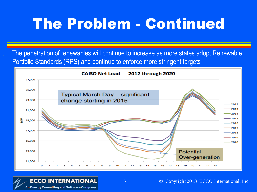### The Problem - Continued

u The penetration of renewables will continue to increase as more states adopt Renewable Portfolio Standards (RPS) and continue to enforce more stringent targets

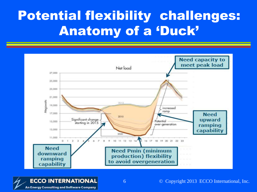#### Potential flexibility challenges: Anatomy of a 'Duck'



**An Energy Consulting and Software Company** 

6 © Copyright 2013 ECCO International, Inc.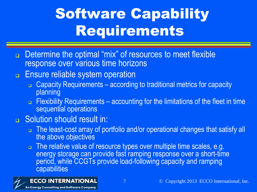## Software Capability Requirements

- □ Determine the optimal "mix" of resources to meet flexible response over various time horizons
- **Ensure reliable system operation** 
	- □ Capacity Requirements according to traditional metrics for capacity planning
	- $\Box$  Flexibility Requirements accounting for the limitations of the fleet in time sequential operations

#### **B** Solution should result in:

- □ The least-cost array of portfolio and/or operational changes that satisfy all the above objectives
- $\Box$  The relative value of resource types over multiple time scales, e.g. energy storage can provide fast ramping response over a short-time period, while CCGTs provide load-following capacity and ramping capabilities

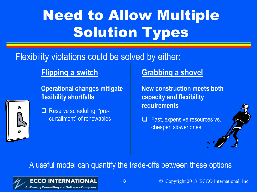# Need to Allow Multiple Solution Types

#### Flexibility violations could be solved by either:

#### **Flipping a switch**

**Operational changes mitigate flexibility shortfalls**



Reserve scheduling, "precurtailment" of renewables

#### **Grabbing a shovel**

**New construction meets both capacity and flexibility requirements**

 Fast, expensive resources vs. cheaper, slower ones

#### A useful model can quantify the trade-offs between these options

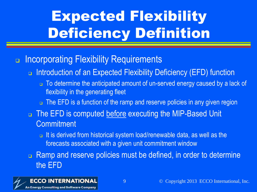# Expected Flexibility Deficiency Definition

#### **n** Incorporating Flexibility Requirements

- □ Introduction of an Expected Flexibility Deficiency (EFD) function
	- $\Box$  To determine the anticipated amount of un-served energy caused by a lack of flexibility in the generating fleet
	- □ The EFD is a function of the ramp and reserve policies in any given region
- $\Box$  The EFD is computed before executing the MIP-Based Unit **Commitment** 
	- $\Box$  It is derived from historical system load/renewable data, as well as the forecasts associated with a given unit commitment window

**Ramp and reserve policies must be defined, in order to determine** the EFD

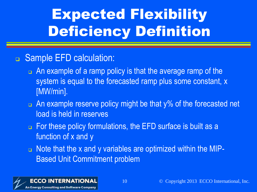# Expected Flexibility Deficiency Definition

#### □ Sample EFD calculation:

- $\Box$  An example of a ramp policy is that the average ramp of the system is equal to the forecasted ramp plus some constant, x [MW/min].
- $\Box$  An example reserve policy might be that y% of the forecasted net load is held in reserves
- $\Box$  For these policy formulations, the EFD surface is built as a function of x and y
- $\Box$  Note that the x and y variables are optimized within the MIP-Based Unit Commitment problem

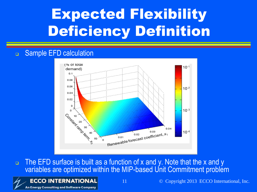## Expected Flexibility Deficiency Definition

#### Sample EFD calculation



 $\Box$  The EFD surface is built as a function of x and y. Note that the x and y variables are optimized within the MIP-based Unit Commitment problem

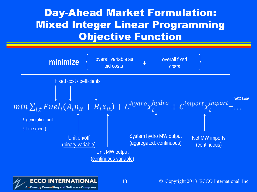#### Day-Ahead Market Formulation: Mixed Integer Linear Programming Objective Function



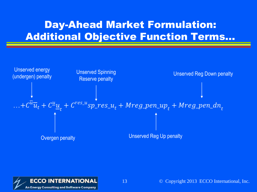#### Day-Ahead Market Formulation: Additional Objective Function Terms…



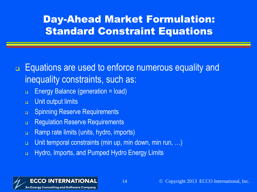#### Day-Ahead Market Formulation: Standard Constraint Equations

#### □ Equations are used to enforce numerous equality and inequality constraints, such as:

- Energy Balance (generation = load)
- **u** Unit output limits
- **B.** Spinning Reserve Requirements
- **Regulation Reserve Requirements**
- **n** Ramp rate limits (units, hydro, imports)
- Unit temporal constraints (min up, min down, min run, ...)
- **EXECUTE:** Hydro, Imports, and Pumped Hydro Energy Limits

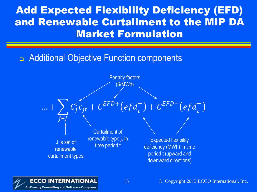#### Add Expected Flexibility Deficiency (EFD) and Renewable Curtailment to the MIP DA Market Formulation

#### Additional Objective Function components



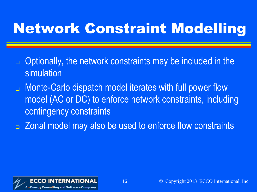### Network Constraint Modelling

- □ Optionally, the network constraints may be included in the simulation
- **n** Monte-Carlo dispatch model iterates with full power flow model (AC or DC) to enforce network constraints, including contingency constraints
- **E** Zonal model may also be used to enforce flow constraints

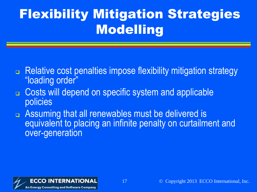### Flexibility Mitigation Strategies Modelling

- **<u>Relative cost penalties impose flexibility mitigation strategy</u>** "loading order"
- Costs will depend on specific system and applicable policies
- **Example 2** Assuming that all renewables must be delivered is equivalent to placing an infinite penalty on curtailment and over-generation

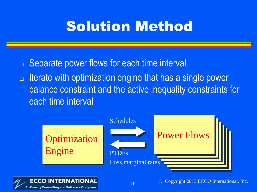### Solution Method

- **<u>n</u>** Separate power flows for each time interval
- $\Box$  Iterate with optimization engine that has a single power balance constraint and the active inequality constraints for each time interval



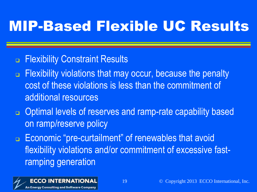# MIP-Based Flexible UC Results

#### **Exibility Constraint Results**

- $\Box$  Flexibility violations that may occur, because the penalty cost of these violations is less than the commitment of additional resources
- **D** Optimal levels of reserves and ramp-rate capability based on ramp/reserve policy
- **Economic "pre-curtailment" of renewables that avoid** flexibility violations and/or commitment of excessive fastramping generation

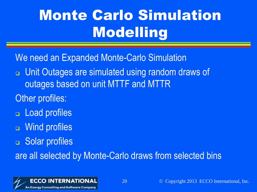# Monte Carlo Simulation Modelling

We need an Expanded Monte-Carlo Simulation

- **<u>D</u>** Unit Outages are simulated using random draws of outages based on unit MTTF and MTTR
- Other profiles:
- **<u>E</u>** Load profiles
- **a** Wind profiles
- **B** Solar profiles

are all selected by Monte-Carlo draws from selected bins



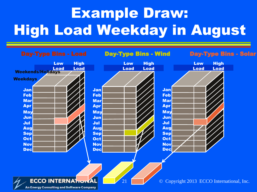# Example Draw: High Load Weekday in August

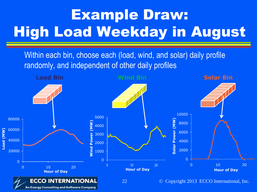# Example Draw: High Load Weekday in August

Within each bin, choose each (load, wind, and solar) daily profile randomly, and independent of other daily profiles

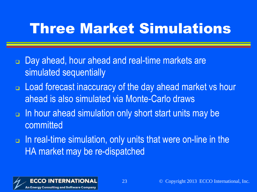### Three Market Simulations

- **Day ahead, hour ahead and real-time markets are** simulated sequentially
- □ Load forecast inaccuracy of the day ahead market vs hour ahead is also simulated via Monte-Carlo draws
- In hour ahead simulation only short start units may be committed
- $\Box$  In real-time simulation, only units that were on-line in the HA market may be re-dispatched

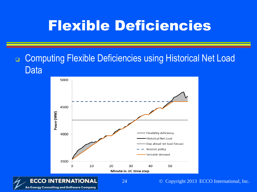### Flexible Deficiencies

#### □ Computing Flexible Deficiencies using Historical Net Load Data



**An Energy Consulting and Software Company** 

24 © Copyright 2013 ECCO International, Inc.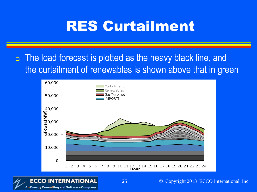### RES Curtailment

**n** The load forecast is plotted as the heavy black line, and the curtailment of renewables is shown above that in green



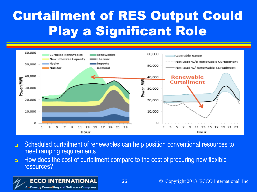### Curtailment of RES Output Could Play a Significant Role



- Scheduled curtailment of renewables can help position conventional resources to meet ramping requirements
- $\Box$  How does the cost of curtailment compare to the cost of procuring new flexible resources?

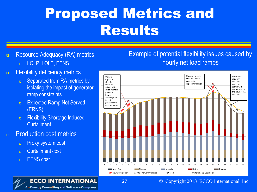### Proposed Metrics and Results

- **Resource Adequacy (RA) metrics** 
	- **LOLP, LOLE, EENS**
- **Exibility deficiency metrics** 
	- □ Separated from RA metrics by isolating the impact of generator ramp constraints
	- **Expected Ramp Not Served** (ERNS)
	- **Exibility Shortage Induced Curtailment**
- **Production cost metrics** 
	- **Proxy system cost**
	- **n** Curtailment cost
	- **EENS** cost

#### Example of potential flexibility issues caused by hourly net load ramps



#### **ECCO INTERNATIONAL** 27 **An Energy Consulting and Software Company**

#### © Copyright 2013 ECCO International, Inc.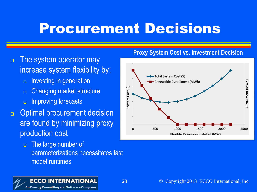#### Procurement Decisions

28

- $\Box$  The system operator may increase system flexibility by:
	- **Investing in generation**
	- Changing market structure
	- **Improving forecasts**
- Optimal procurement decision are found by minimizing proxy production cost
	- The large number of parameterizations necessitates fast model runtimes

#### **Proxy System Cost vs. Investment Decision**



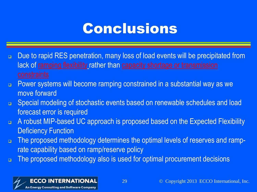### Conclusions

- □ Due to rapid RES penetration, many loss of load events will be precipitated from lack of ramping flexibility rather than capacity shortage or transmission
- **Power systems will become ramping constrained in a substantial way as we** move forward
- **B** Special modeling of stochastic events based on renewable schedules and load forecast error is required
- A robust MIP-based UC approach is proposed based on the Expected Flexibility Deficiency Function
- $\Box$  The proposed methodology determines the optimal levels of reserves and ramprate capability based on ramp/reserve policy
- The proposed methodology also is used for optimal procurement decisions